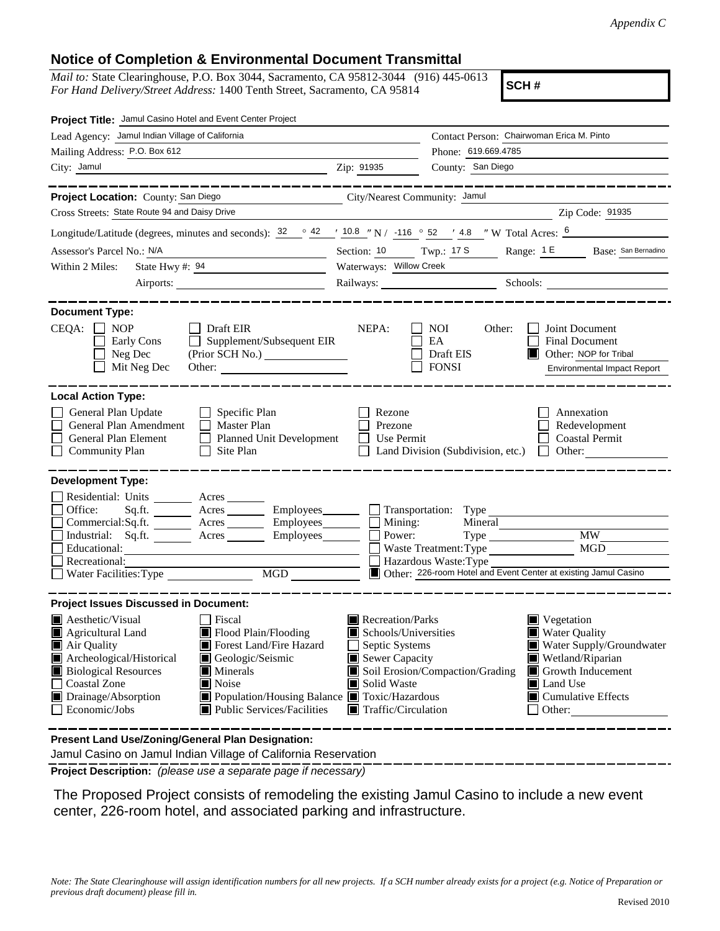## **Notice of Completion & Environmental Document Transmittal**

*Mail to:* State Clearinghouse, P.O. Box 3044, Sacramento, CA 95812-3044 (916) 445-0613 *For Hand Delivery/Street Address:* 1400 Tenth Street, Sacramento, CA 95814

**SCH #**

| Project Title: Jamul Casino Hotel and Event Center Project                                                                                                                                                                                                                                                                                                                                                              |                                                                                                                                   |                                                                                   |                                                                                                                                                                    |
|-------------------------------------------------------------------------------------------------------------------------------------------------------------------------------------------------------------------------------------------------------------------------------------------------------------------------------------------------------------------------------------------------------------------------|-----------------------------------------------------------------------------------------------------------------------------------|-----------------------------------------------------------------------------------|--------------------------------------------------------------------------------------------------------------------------------------------------------------------|
| Lead Agency: Jamul Indian Village of California                                                                                                                                                                                                                                                                                                                                                                         |                                                                                                                                   | Contact Person: Chairwoman Erica M. Pinto                                         |                                                                                                                                                                    |
| Mailing Address: P.O. Box 612                                                                                                                                                                                                                                                                                                                                                                                           |                                                                                                                                   | Phone: 619.669.4785                                                               |                                                                                                                                                                    |
| City: Jamul                                                                                                                                                                                                                                                                                                                                                                                                             | Zip: 91935                                                                                                                        | County: San Diego                                                                 |                                                                                                                                                                    |
| Project Location: County: San Diego<br>City/Nearest Community: Jamul                                                                                                                                                                                                                                                                                                                                                    |                                                                                                                                   |                                                                                   | ________________                                                                                                                                                   |
| Cross Streets: State Route 94 and Daisy Drive                                                                                                                                                                                                                                                                                                                                                                           |                                                                                                                                   | <u> 1989 - Johann Barbara, martin amerikan basar da</u>                           | Zip Code: 91935                                                                                                                                                    |
| Longitude/Latitude (degrees, minutes and seconds): $\frac{32}{2}$ $\frac{42}{10.8}$ $\frac{10.8}{10.8}$ $\frac{10.8}{10.8}$ $\frac{10.8}{10.8}$ $\frac{10.8}{10.8}$ $\frac{10.8}{10.8}$ $\frac{10.8}{10.8}$ $\frac{10.8}{10.8}$ $\frac{10.8}{10.8}$ $\frac{10.8}{10.8}$                                                                                                                                                 |                                                                                                                                   |                                                                                   |                                                                                                                                                                    |
| Assessor's Parcel No.: N/A<br><u> 1980 - John Harry Harry Harry Harry Harry Harry Harry Harry Harry Harry Harry Harry Harry Harry Harry Harry H</u>                                                                                                                                                                                                                                                                     | Section: 10 Twp.: 17 S                                                                                                            |                                                                                   | Range: 1 E Base: San Bernadino                                                                                                                                     |
| State Hwy #: $94$<br>Within 2 Miles:                                                                                                                                                                                                                                                                                                                                                                                    | Waterways: Willow Creek                                                                                                           |                                                                                   |                                                                                                                                                                    |
|                                                                                                                                                                                                                                                                                                                                                                                                                         |                                                                                                                                   |                                                                                   | Railways: Schools: Schools: Schools: 2001                                                                                                                          |
| <b>Document Type:</b><br>$CEQA: \Box NOP$<br>Draft EIR<br>Supplement/Subsequent EIR<br>Early Cons<br>Neg Dec<br>Mit Neg Dec<br>Other:                                                                                                                                                                                                                                                                                   | NEPA:                                                                                                                             | <b>NOI</b><br>Other:<br>EA<br>Draft EIS<br><b>FONSI</b>                           | Joint Document<br><b>Final Document</b><br>Other: NOP for Tribal<br><b>Environmental Impact Report</b>                                                             |
| <b>Local Action Type:</b><br>General Plan Update<br>$\Box$ Specific Plan<br>General Plan Amendment<br>$\Box$ Master Plan<br>General Plan Element<br>Planned Unit Development<br>$\Box$ Community Plan<br>$\Box$ Site Plan                                                                                                                                                                                               | Rezone<br>Prezone<br>Use Permit                                                                                                   | Land Division (Subdivision, etc.)                                                 | Annexation<br>Redevelopment<br><b>Coastal Permit</b><br>$\Box$ Other:                                                                                              |
| <b>Development Type:</b><br>Residential: Units ________ Acres _______<br>Office:<br>Acres __________ Employees_________<br>Sq.ft.<br>Commercial:Sq.ft. _______ Acres ________ Employees_______<br>Industrial: Sq.ft. _______ Acres ________ Employees_______<br>Educational:<br>Recreational:<br>Water Facilities: Type<br>MGD NGD                                                                                      | Mining:<br>Power:                                                                                                                 | Transportation: Type<br>Mineral<br>Waste Treatment: Type<br>Hazardous Waste: Type | <b>MW</b><br>MGD<br>Other: 226-room Hotel and Event Center at existing Jamul Casino                                                                                |
| <b>Project Issues Discussed in Document:</b>                                                                                                                                                                                                                                                                                                                                                                            |                                                                                                                                   |                                                                                   |                                                                                                                                                                    |
| $\blacksquare$ Aesthetic/Visual<br>Fiscal<br>Flood Plain/Flooding<br>Agricultural Land<br>IW<br>Forest Land/Fire Hazard<br>Air Quality<br>Archeological/Historical<br>Geologic/Seismic<br><b>Biological Resources</b><br>$\blacksquare$ Minerals<br><b>Coastal Zone</b><br>$\blacksquare$ Noise<br>■ Population/Housing Balance ■ Toxic/Hazardous<br>Drainage/Absorption<br>Economic/Jobs<br>Public Services/Facilities | Recreation/Parks<br>Schools/Universities<br>Septic Systems<br>Sewer Capacity<br>Solid Waste<br>$\blacksquare$ Traffic/Circulation | Soil Erosion/Compaction/Grading                                                   | Vegetation<br><b>Water Quality</b><br>Water Supply/Groundwater<br>Wetland/Riparian<br>Growth Inducement<br>Land Use<br>$\blacksquare$ Cumulative Effects<br>Other: |
| <b>Procent Land Lee/Zoning/General Plan Designation:</b>                                                                                                                                                                                                                                                                                                                                                                |                                                                                                                                   |                                                                                   |                                                                                                                                                                    |

**Present Land Use/Zoning/General Plan Designation:**

Jamul Casino on Jamul Indian Village of California Reservation

**Project Description:** *(please use a separate page if necessary)*

 The Proposed Project consists of remodeling the existing Jamul Casino to include a new event center, 226-room hotel, and associated parking and infrastructure.